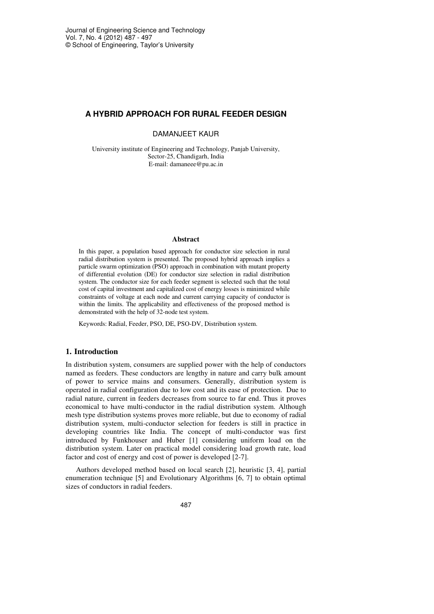# **A HYBRID APPROACH FOR RURAL FEEDER DESIGN**

DAMANJEET KAUR

University institute of Engineering and Technology, Panjab University, Sector-25, Chandigarh, India E-mail: damaneee@pu.ac.in

#### **Abstract**

In this paper, a population based approach for conductor size selection in rural radial distribution system is presented. The proposed hybrid approach implies a particle swarm optimization (PSO) approach in combination with mutant property of differential evolution (DE) for conductor size selection in radial distribution system. The conductor size for each feeder segment is selected such that the total cost of capital investment and capitalized cost of energy losses is minimized while constraints of voltage at each node and current carrying capacity of conductor is within the limits. The applicability and effectiveness of the proposed method is demonstrated with the help of 32-node test system.

Keywords: Radial, Feeder, PSO, DE, PSO-DV, Distribution system.

# **1. Introduction**

In distribution system, consumers are supplied power with the help of conductors named as feeders. These conductors are lengthy in nature and carry bulk amount of power to service mains and consumers. Generally, distribution system is operated in radial configuration due to low cost and its ease of protection. Due to radial nature, current in feeders decreases from source to far end. Thus it proves economical to have multi-conductor in the radial distribution system. Although mesh type distribution systems proves more reliable, but due to economy of radial distribution system, multi-conductor selection for feeders is still in practice in developing countries like India. The concept of multi-conductor was first introduced by Funkhouser and Huber [1] considering uniform load on the distribution system. Later on practical model considering load growth rate, load factor and cost of energy and cost of power is developed [2-7].

Authors developed method based on local search [2], heuristic [3, 4], partial enumeration technique [5] and Evolutionary Algorithms [6, 7] to obtain optimal sizes of conductors in radial feeders.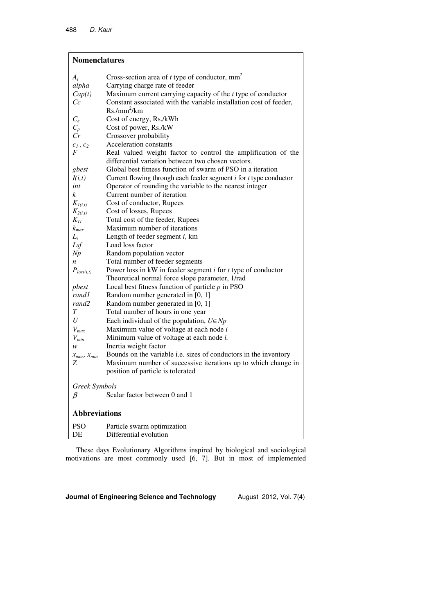| <b>Nomenclatures</b>  |                                                                                  |  |  |  |
|-----------------------|----------------------------------------------------------------------------------|--|--|--|
| $A_t$                 | Cross-section area of $t$ type of conductor, $mm2$                               |  |  |  |
| alpha                 | Carrying charge rate of feeder                                                   |  |  |  |
| Cap(t)                | Maximum current carrying capacity of the $t$ type of conductor                   |  |  |  |
| Cc                    | Constant associated with the variable installation cost of feeder,               |  |  |  |
|                       | $Rs./mm^2/km$                                                                    |  |  |  |
| $C_{\rho}$            | Cost of energy, Rs./kWh                                                          |  |  |  |
| $C_p$                 | Cost of power, Rs./kW                                                            |  |  |  |
| Cr                    | Crossover probability                                                            |  |  |  |
| $c_1, c_2$            | Acceleration constants                                                           |  |  |  |
| F                     | Real valued weight factor to control the amplification of the                    |  |  |  |
|                       | differential variation between two chosen vectors.                               |  |  |  |
| gbest                 | Global best fitness function of swarm of PSO in a iteration                      |  |  |  |
| I(i,t)                | Current flowing through each feeder segment <i>i</i> for <i>t</i> type conductor |  |  |  |
| int                   | Operator of rounding the variable to the nearest integer                         |  |  |  |
| k                     | Current number of iteration                                                      |  |  |  |
| $K_{I(i,t)}$          | Cost of conductor, Rupees                                                        |  |  |  |
| $K_{2(i,t)}$          | Cost of losses, Rupees                                                           |  |  |  |
| $K_{Ti}$              | Total cost of the feeder, Rupees                                                 |  |  |  |
| $k_{max}$             | Maximum number of iterations                                                     |  |  |  |
| $L_i$                 | Length of feeder segment <i>i</i> , km                                           |  |  |  |
| Lsf                   | Load loss factor                                                                 |  |  |  |
| Np                    | Random population vector                                                         |  |  |  |
| $\boldsymbol{n}$      | Total number of feeder segments                                                  |  |  |  |
| $P_{loss(i,t)}$       | Power loss in $kW$ in feeder segment $i$ for $t$ type of conductor               |  |  |  |
|                       | Theoretical normal force slope parameter, 1/rad                                  |  |  |  |
| pbest                 | Local best fitness function of particle $p$ in PSO                               |  |  |  |
| rand1                 | Random number generated in [0, 1]                                                |  |  |  |
| rand2                 | Random number generated in [0, 1]                                                |  |  |  |
| T                     | Total number of hours in one year                                                |  |  |  |
| U                     | Each individual of the population, $U \in Np$                                    |  |  |  |
| $V_{max}$             | Maximum value of voltage at each node $i$                                        |  |  |  |
| $V_{min}$             | Minimum value of voltage at each node i.                                         |  |  |  |
| w                     | Inertia weight factor                                                            |  |  |  |
| $x_{max}$ , $x_{min}$ | Bounds on the variable i.e. sizes of conductors in the inventory                 |  |  |  |
| Ζ                     | Maximum number of successive iterations up to which change in                    |  |  |  |
|                       | position of particle is tolerated                                                |  |  |  |
| Greek Symbols         |                                                                                  |  |  |  |
| $\beta$               | Scalar factor between 0 and 1                                                    |  |  |  |
| <b>Abbreviations</b>  |                                                                                  |  |  |  |
| <b>PSO</b>            | Particle swarm optimization                                                      |  |  |  |
| DE                    | Differential evolution                                                           |  |  |  |

These days Evolutionary Algorithms inspired by biological and sociological motivations are most commonly used [6, 7]. But in most of implemented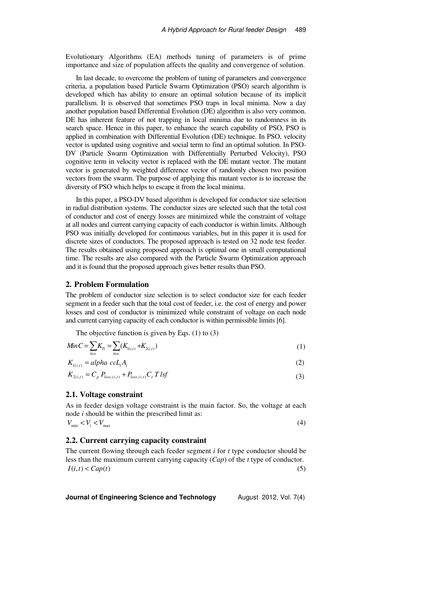Evolutionary Algorithms (EA) methods tuning of parameters is of prime importance and size of population affects the quality and convergence of solution.

In last decade, to overcome the problem of tuning of parameters and convergence criteria, a population based Particle Swarm Optimization (PSO) search algorithm is developed which has ability to ensure an optimal solution because of its implicit parallelism. It is observed that sometimes PSO traps in local minima. Now a day another population based Differential Evolution (DE) algorithm is also very common. DE has inherent feature of not trapping in local minima due to randomness in its search space. Hence in this paper, to enhance the search capability of PSO, PSO is applied in combination with Differential Evolution (DE) technique. In PSO, velocity vector is updated using cognitive and social term to find an optimal solution. In PSO-DV (Particle Swarm Optimization with Differentially Perturbed Velocity), PSO cognitive term in velocity vector is replaced with the DE mutant vector. The mutant vector is generated by weighted difference vector of randomly chosen two position vectors from the swarm. The purpose of applying this mutant vector is to increase the diversity of PSO which helps to escape it from the local minima.

In this paper, a PSO-DV based algorithm is developed for conductor size selection in radial distribution systems. The conductor sizes are selected such that the total cost of conductor and cost of energy losses are minimized while the constraint of voltage at all nodes and current carrying capacity of each conductor is within limits. Although PSO was initially developed for continuous variables, but in this paper it is used for discrete sizes of conductors. The proposed approach is tested on 32 node test feeder. The results obtained using proposed approach is optimal one in small computational time. The results are also compared with the Particle Swarm Optimization approach and it is found that the proposed approach gives better results than PSO.

# **2. Problem Formulation**

The problem of conductor size selection is to select conductor size for each feeder segment in a feeder such that the total cost of feeder, i.e. the cost of energy and power losses and cost of conductor is minimized while constraint of voltage on each node and current carrying capacity of each conductor is within permissible limits [6].

The objective function is given by Eqs. (1) to (3)

$$
MinC = \sum_{i \in n} K_{Ti} = \sum_{i \in n} (K_{1(i,t)} + K_{2(i,t)})
$$
\n(1)

$$
K_{1(i,t)} = alpha \ c c L_i A_t \tag{2}
$$

$$
K_{2(i,t)} = C_p \, P_{loss,(i,t)} + P_{loss,(i,t)} C_e \, T \, lsf \tag{3}
$$

### **2.1. Voltage constraint**

As in feeder design voltage constraint is the main factor. So, the voltage at each node *i* should be within the prescribed limit as:

$$
V_{\min} < V_i < V_{\max} \tag{4}
$$

### **2.2. Current carrying capacity constraint**

The current flowing through each feeder segment *i* for *t* type conductor should be less than the maximum current carrying capacity (*Cap*) of the *t* type of conductor.  $I(i, t) < Cap(t)$  (5)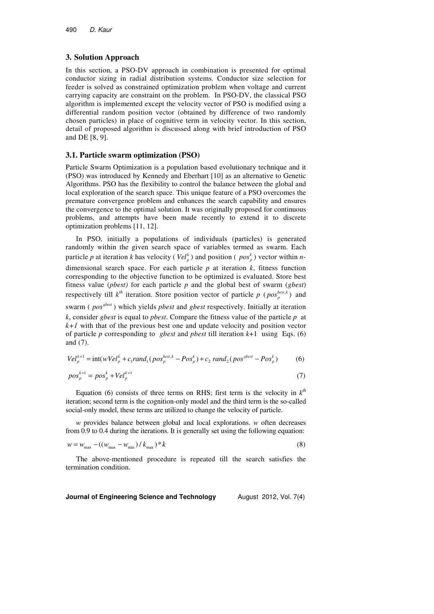#### **3. Solution Approach**

In this section, a PSO-DV approach in combination is presented for optimal conductor sizing in radial distribution systems. Conductor size selection for feeder is solved as constrained optimization problem when voltage and current carrying capacity are constraint on the problem. In PSO-DV, the classical PSO algorithm is implemented except the velocity vector of PSO is modified using a differential random position vector (obtained by difference of two randomly chosen particles) in place of cognitive term in velocity vector. In this section, detail of proposed algorithm is discussed along with brief introduction of PSO and DE [8, 9].

# **3.1. Particle swarm optimization (PSO)**

Particle Swarm Optimization is a population based evolutionary technique and it (PSO) was introduced by Kennedy and Eberhart [10] as an alternative to Genetic Algorithms. PSO has the flexibility to control the balance between the global and local exploration of the search space. This unique feature of a PSO overcomes the premature convergence problem and enhances the search capability and ensures the convergence to the optimal solution. It was originally proposed for continuous problems, and attempts have been made recently to extend it to discrete optimization problems [11, 12].

In PSO, initially a populations of individuals (particles) is generated randomly within the given search space of variables termed as swarm. Each particle *p* at iteration *k* has velocity ( $Vel_p^k$ ) and position ( $pos_p^k$ ) vector within *n*dimensional search space. For each particle  $p$  at iteration  $k$ , fitness function corresponding to the objective function to be optimized is evaluated. Store best fitness value (*pbest)* for each particle *p* and the global best of swarm (*gbest*) respectively till  $k^{th}$  iteration. Store position vector of particle  $p \left( pos_{p}^{best,k} \right)$  and

swarm (*pos<sup>sbest</sup>*) which yields *pbest* and *gbest* respectively. Initially at iteration *k*, consider *gbest* is equal to *pbest*. Compare the fitness value of the particle *p* at  $k+1$  with that of the previous best one and update velocity and position vector of particle *p* corresponding to *gbest* and *pbest* till iteration *k*+1 using Eqs. (6) and (7).

$$
Vel_p^{k+1} = \text{int}(wVel_p^k + c_1 rand_1 (pos_p^{best,k} - Pos_p^k) + c_2 rand_2 (pos^{sbest} - Pos_p^k)
$$
 (6)

$$
pos_p^{k+1} = pos_p^k + Vel_p^{k+1}
$$
 (7)

Equation (6) consists of three terms on RHS; first term is the velocity in  $k<sup>th</sup>$ iteration; second term is the cognition-only model and the third term is the so-called social-only model, these terms are utilized to change the velocity of particle.

*w* provides balance between global and local explorations. *w* often decreases from 0.9 to 0.4 during the iterations. It is generally set using the following equation:

$$
w = w_{\text{max}} - ((w_{\text{max}} - w_{\text{min}}) / k_{\text{max}})^{*} k
$$
 (8)

The above-mentioned procedure is repeated till the search satisfies the termination condition.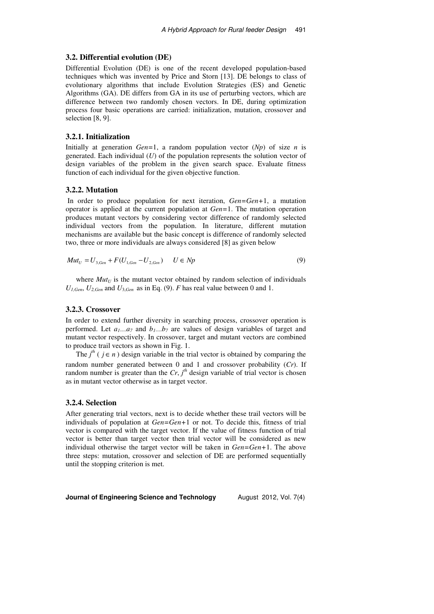### **3.2. Differential evolution (DE)**

Differential Evolution (DE) is one of the recent developed population-based techniques which was invented by Price and Storn [13]. DE belongs to class of evolutionary algorithms that include Evolution Strategies (ES) and Genetic Algorithms (GA). DE differs from GA in its use of perturbing vectors, which are difference between two randomly chosen vectors. In DE, during optimization process four basic operations are carried: initialization, mutation, crossover and selection [8, 9].

#### **3.2.1. Initialization**

Initially at generation *Gen*=1, a random population vector  $(Np)$  of size *n* is generated. Each individual (*U*) of the population represents the solution vector of design variables of the problem in the given search space. Evaluate fitness function of each individual for the given objective function.

### **3.2.2. Mutation**

 In order to produce population for next iteration, *Gen=Gen+*1, a mutation operator is applied at the current population at *Gen=*1. The mutation operation produces mutant vectors by considering vector difference of randomly selected individual vectors from the population. In literature, different mutation mechanisms are available but the basic concept is difference of randomly selected two, three or more individuals are always considered [8] as given below

$$
Mut_{U} = U_{3,Gen} + F(U_{1,Gen} - U_{2,Gen}) \qquad U \in Np
$$
\n(9)

where  $Mut_U$  is the mutant vector obtained by random selection of individuals  $U_{I,Gen}$ ,  $U_{2,Gen}$  and  $U_{3,Gen}$  as in Eq. (9). *F* has real value between 0 and 1.

# **3.2.3. Crossover**

In order to extend further diversity in searching process, crossover operation is performed. Let  $a_1...a_7$  and  $b_1...b_7$  are values of design variables of target and mutant vector respectively. In crossover, target and mutant vectors are combined to produce trail vectors as shown in Fig. 1.

The  $j<sup>th</sup>$  (  $j \in n$  ) design variable in the trial vector is obtained by comparing the random number generated between 0 and 1 and crossover probability (*Cr*). If random number is greater than the  $Cr$ ,  $j<sup>th</sup>$  design variable of trial vector is chosen as in mutant vector otherwise as in target vector.

### **3.2.4. Selection**

After generating trial vectors, next is to decide whether these trail vectors will be individuals of population at *Gen=Gen+*1 or not. To decide this, fitness of trial vector is compared with the target vector. If the value of fitness function of trial vector is better than target vector then trial vector will be considered as new individual otherwise the target vector will be taken in *Gen=Gen+*1. The above three steps: mutation, crossover and selection of DE are performed sequentially until the stopping criterion is met.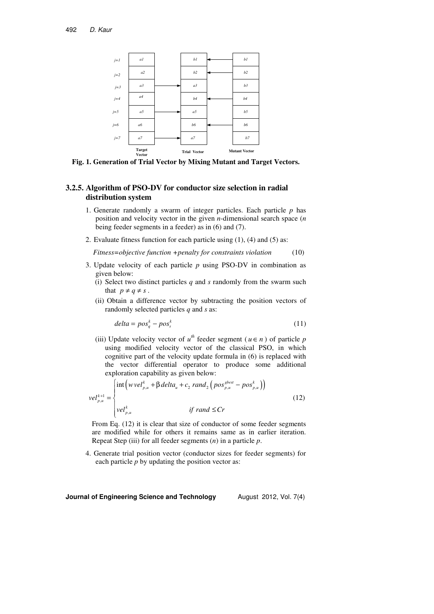

**Fig. 1. Generation of Trial Vector by Mixing Mutant and Target Vectors.** 

# **3.2.5. Algorithm of PSO-DV for conductor size selection in radial distribution system**

- 1. Generate randomly a swarm of integer particles. Each particle *p* has position and velocity vector in the given *n*-dimensional search space (*n* being feeder segments in a feeder) as in (6) and (7).
- 2. Evaluate fitness function for each particle using (1), (4) and (5) as:

 *Fitness=objective function +penalty for constraints violation* (10)

- 3. Update velocity of each particle *p* using PSO-DV in combination as given below:
	- (i) Select two distinct particles  $q$  and  $s$  randomly from the swarm such that  $p \neq q \neq s$ .
	- (ii) Obtain a difference vector by subtracting the position vectors of randomly selected particles *q* and *s* as:

$$
delta = pos_{q}^{k} - pos_{s}^{k} \tag{11}
$$

(iii) Update velocity vector of  $u^{th}$  feeder segment ( $u \in n$ ) of particle *p* using modified velocity vector of the classical PSO, in which cognitive part of the velocity update formula in (6) is replaced with the vector differential operator to produce some additional exploration capability as given below:

$$
vel_{p,u}^{k+1} = \begin{cases} \int \int_{p,u}^{\infty} \int_{p,u}^{\infty} \left( \frac{p \cdot u}{p} + \beta \cdot \frac{p \cdot u}{p} \cdot u \right) \cdot \frac{p \cdot u}{p} \cdot u \\ \int_{p,u}^{\infty} \int_{p,u}^{\infty} \int_{p,u}^{\infty} \int_{p,u}^{\infty} \int_{p}^{\infty} \int_{p}^{\infty} \int_{p}^{\infty} \int_{p}^{\infty} \int_{p}^{\infty} \int_{p}^{\infty} \int_{p}^{\infty} \int_{p}^{\infty} \int_{p}^{\infty} \int_{p}^{\infty} \int_{p}^{\infty} \int_{p}^{\infty} \int_{p}^{\infty} \int_{p}^{\infty} \int_{p}^{\infty} \int_{p}^{\infty} \int_{p}^{\infty} \int_{p}^{\infty} \int_{p}^{\infty} \int_{p}^{\infty} \int_{p}^{\infty} \int_{p}^{\infty} \int_{p}^{\infty} \int_{p}^{\infty} \int_{p}^{\infty} \int_{p}^{\infty} \int_{p}^{\infty} \int_{p}^{\infty} \int_{p}^{\infty} \int_{p}^{\infty} \int_{p}^{\infty} \int_{p}^{\infty} \int_{p}^{\infty} \int_{p}^{\infty} \int_{p}^{\infty} \int_{p}^{\infty} \int_{p}^{\infty} \int_{p}^{\infty} \int_{p}^{\infty} \int_{p}^{\infty} \int_{p}^{\infty} \int_{p}^{\infty} \int_{p}^{\infty} \int_{p}^{\infty} \int_{p}^{\infty} \int_{p}^{\infty} \int_{p}^{\infty} \int_{p}^{\infty} \int_{p}^{\infty} \int_{p}^{\infty} \int_{p}^{\infty} \int_{p}^{\infty} \int_{p}^{\infty} \int_{p}^{\infty} \int_{p}^{\infty} \int_{p}^{\infty} \int_{p}^{\infty} \int_{p}^{\infty} \int_{p}^{\infty} \int_{p}^{\infty} \int_{p}^{\infty} \int_{p}^{\infty} \int_{p}
$$

From Eq. (12) it is clear that size of conductor of some feeder segments are modified while for others it remains same as in earlier iteration. Repeat Step (iii) for all feeder segments (*n*) in a particle *p*.

4. Generate trial position vector (conductor sizes for feeder segments) for each particle *p* by updating the position vector as: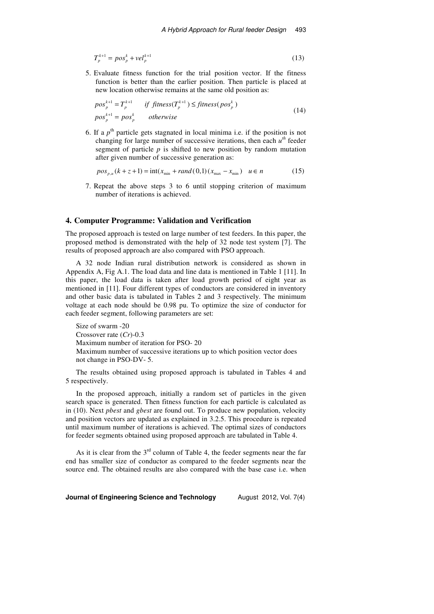$$
T_p^{k+1} = pos_p^k + vel_p^{k+1}
$$
 (13)

5. Evaluate fitness function for the trial position vector. If the fitness function is better than the earlier position. Then particle is placed at new location otherwise remains at the same old position as:

$$
pos_p^{k+1} = T_p^{k+1} \t\t \text{if fitness}(T_p^{k+1}) \leq \text{fitness}(pos_p^k)
$$
  
\n
$$
pos_p^{k+1} = pos_p^k \t\t \text{otherwise}
$$
\n(14)

6. If a  $p<sup>th</sup>$  particle gets stagnated in local minima i.e. if the position is not changing for large number of successive iterations, then each *u th* feeder segment of particle *p* is shifted to new position by random mutation after given number of successive generation as:

$$
pos_{p,u}(k+z+1) = int(x_{min} + rand(0,1)(x_{max} - x_{min}) \quad u \in n
$$
 (15)

7. Repeat the above steps 3 to 6 until stopping criterion of maximum number of iterations is achieved.

### **4. Computer Programme: Validation and Verification**

The proposed approach is tested on large number of test feeders. In this paper, the proposed method is demonstrated with the help of 32 node test system [7]. The results of proposed approach are also compared with PSO approach.

A 32 node Indian rural distribution network is considered as shown in Appendix A, Fig A.1. The load data and line data is mentioned in Table 1 [11]. In this paper, the load data is taken after load growth period of eight year as mentioned in [11]. Four different types of conductors are considered in inventory and other basic data is tabulated in Tables 2 and 3 respectively. The minimum voltage at each node should be 0.98 pu. To optimize the size of conductor for each feeder segment, following parameters are set:

```
Size of swarm -20 
Crossover rate (Cr)-0.3 
Maximum number of iteration for PSO- 20 
Maximum number of successive iterations up to which position vector does 
not change in PSO-DV- 5.
```
The results obtained using proposed approach is tabulated in Tables 4 and 5 respectively.

In the proposed approach, initially a random set of particles in the given search space is generated. Then fitness function for each particle is calculated as in (10). Next *pbest* and *gbest* are found out. To produce new population, velocity and position vectors are updated as explained in 3.2.5. This procedure is repeated until maximum number of iterations is achieved. The optimal sizes of conductors for feeder segments obtained using proposed approach are tabulated in Table 4.

As it is clear from the  $3<sup>rd</sup>$  column of Table 4, the feeder segments near the far end has smaller size of conductor as compared to the feeder segments near the source end. The obtained results are also compared with the base case i.e. when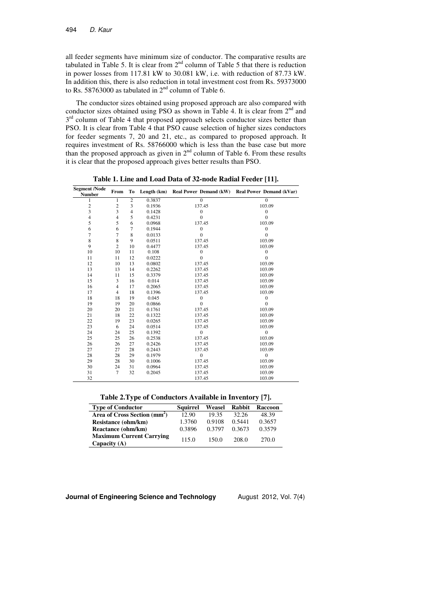all feeder segments have minimum size of conductor. The comparative results are tabulated in Table 5. It is clear from  $2<sup>nd</sup>$  column of Table 5 that there is reduction in power losses from 117.81 kW to 30.081 kW, i.e. with reduction of 87.73 kW. In addition this, there is also reduction in total investment cost from Rs. 59373000 to Rs. 58763000 as tabulated in  $2<sup>nd</sup>$  column of Table 6.

The conductor sizes obtained using proposed approach are also compared with conductor sizes obtained using PSO as shown in Table 4. It is clear from  $2<sup>nd</sup>$  and 3<sup>rd</sup> column of Table 4 that proposed approach selects conductor sizes better than PSO. It is clear from Table 4 that PSO cause selection of higher sizes conductors for feeder segments 7, 20 and 21, etc., as compared to proposed approach. It requires investment of Rs. 58766000 which is less than the base case but more than the proposed approach as given in  $2<sup>nd</sup>$  column of Table 6. From these results it is clear that the proposed approach gives better results than PSO.

| <b>Segment /Node</b><br><b>Number</b> | From           | To             |        |                  | Length (km) Real Power Demand (kW) Real Power Demand (kVar) |
|---------------------------------------|----------------|----------------|--------|------------------|-------------------------------------------------------------|
| 1                                     | 1              | $\overline{c}$ | 0.3837 | $\overline{0}$   | $\overline{0}$                                              |
| $\sqrt{2}$                            | $\overline{c}$ | 3              | 0.1936 | 137.45           | 103.09                                                      |
| 3                                     | 3              | 4              | 0.1428 | $\boldsymbol{0}$ | $\mathbf{0}$                                                |
| 4                                     | 4              | 5              | 0.4231 | $\mathbf{0}$     | $\theta$                                                    |
| 5                                     | 5              | 6              | 0.0968 | 137.45           | 103.09                                                      |
| 6                                     | 6              | 7              | 0.1944 | $\boldsymbol{0}$ | $\boldsymbol{0}$                                            |
| 7                                     | 7              | 8              | 0.0133 | $\overline{0}$   | $\theta$                                                    |
| 8                                     | 8              | 9              | 0.0511 | 137.45           | 103.09                                                      |
| 9                                     | $\overline{2}$ | 10             | 0.4477 | 137.45           | 103.09                                                      |
| 10                                    | 10             | 11             | 0.108  | $\boldsymbol{0}$ | $\mathbf{0}$                                                |
| 11                                    | 11             | 12             | 0.0222 | $\overline{0}$   | $\overline{0}$                                              |
| 12                                    | 10             | 13             | 0.0802 | 137.45           | 103.09                                                      |
| 13                                    | 13             | 14             | 0.2262 | 137.45           | 103.09                                                      |
| 14                                    | 11             | 15             | 0.3379 | 137.45           | 103.09                                                      |
| 15                                    | 3              | 16             | 0.014  | 137.45           | 103.09                                                      |
| 16                                    | $\overline{4}$ | 17             | 0.2065 | 137.45           | 103.09                                                      |
| 17                                    | $\overline{4}$ | 18             | 0.1396 | 137.45           | 103.09                                                      |
| 18                                    | 18             | 19             | 0.045  | $\boldsymbol{0}$ | $\boldsymbol{0}$                                            |
| 19                                    | 19             | 20             | 0.0866 | $\mathbf{0}$     | $\Omega$                                                    |
| 20                                    | 20             | 21             | 0.1761 | 137.45           | 103.09                                                      |
| 21                                    | 18             | 22             | 0.1322 | 137.45           | 103.09                                                      |
| 22                                    | 19             | 23             | 0.0265 | 137.45           | 103.09                                                      |
| 23                                    | 6              | 24             | 0.0514 | 137.45           | 103.09                                                      |
| 24                                    | 24             | 25             | 0.1392 | $\boldsymbol{0}$ | $\mathbf{0}$                                                |
| 25                                    | 25             | 26             | 0.2538 | 137.45           | 103.09                                                      |
| 26                                    | 26             | 27             | 0.2426 | 137.45           | 103.09                                                      |
| 27                                    | 27             | 28             | 0.2443 | 137.45           | 103.09                                                      |
| 28                                    | 28             | 29             | 0.1979 | $\boldsymbol{0}$ | $\mathbf{0}$                                                |
| 29                                    | 28             | 30             | 0.1006 | 137.45           | 103.09                                                      |
| 30                                    | 24             | 31             | 0.0964 | 137.45           | 103.09                                                      |
| 31                                    | 7              | 32             | 0.2045 | 137.45           | 103.09                                                      |
| 32                                    |                |                |        | 137.45           | 103.09                                                      |

**Table 1. Line and Load Data of 32-node Radial Feeder [11].** 

**Table 2.Type of Conductors Available in Inventory [7].** 

| <b>Type of Conductor</b>                          | <b>Squirrel</b> | Weasel | Rabbit | <b>Raccoon</b> |
|---------------------------------------------------|-----------------|--------|--------|----------------|
| Area of Cross Section (mm <sup>2</sup> )          | 12.90           | 19.35  | 32.26  | 48.39          |
| <b>Resistance (ohm/km)</b>                        | 1.3760          | 0.9108 | 0.5441 | 0.3657         |
| Reactance (ohm/km)                                | 0.3896          | 0.3797 | 0.3673 | 0.3579         |
| <b>Maximum Current Carrying</b><br>Capacity $(A)$ | 115.0           | 150.0  | 208.0  | 270.0          |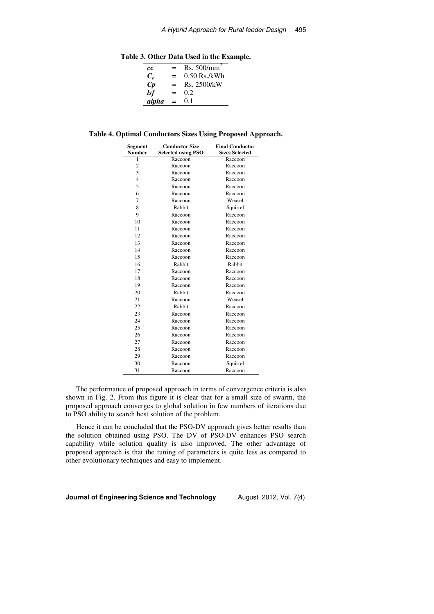**Table 3. Other Data Used in the Example.** 

| cс                   | $=$ | Rs. $500/mm^2$ |
|----------------------|-----|----------------|
| $C_{\rm c}$          | $=$ | $0.50$ Rs./kWh |
| $\mathbf C\mathbf p$ | $=$ | Rs. 2500/kW    |
| lsf                  | $=$ | 0.2            |
| alpha                | $=$ | 0.1            |

**Table 4. Optimal Conductors Sizes Using Proposed Approach.** 

| Segment        | <b>Conductor Size</b>     | <b>Final Conductor</b> |
|----------------|---------------------------|------------------------|
| Number         | <b>Selected using PSO</b> | <b>Sizes Selected</b>  |
| 1              | Raccoon                   | Raccoon                |
| $\overline{c}$ | Raccoon                   | Raccoon                |
| 3              | Raccoon                   | Raccoon                |
| $\overline{4}$ | Raccoon                   | Raccoon                |
| 5              | Raccoon                   | Raccoon                |
| 6              | Raccoon                   | Raccoon                |
| 7              | Raccoon                   | Weasel                 |
| 8              | Rabbit                    | Squirrel               |
| 9              | Raccoon                   | Raccoon                |
| 10             | Raccoon                   | Raccoon                |
| 11             | Raccoon                   | Raccoon                |
| 12             | Raccoon                   | Raccoon                |
| 13             | Raccoon                   | Raccoon                |
| 14             | Raccoon                   | Raccoon                |
| 15             | Raccoon                   | Raccoon                |
| 16             | Rabbit                    | Rabbit                 |
| 17             | Raccoon                   | Raccoon                |
| 18             | Raccoon                   | Raccoon                |
| 19             | Raccoon                   | Raccoon                |
| 20             | Rabbit                    | Raccoon                |
| 21             | Raccoon                   | Weasel                 |
| 22             | Rabbit                    | Raccoon                |
| 23             | Raccoon                   | Raccoon                |
| 24             | Raccoon                   | Raccoon                |
| 25             | Raccoon                   | Raccoon                |
| 26             | Raccoon                   | Raccoon                |
| 27             | Raccoon                   | Raccoon                |
| 28             | Raccoon                   | Raccoon                |
| 29             | Raccoon                   | Raccoon                |
| 30             | Raccoon                   | Squirrel               |
| 31             | Raccoon                   | Raccoon                |

The performance of proposed approach in terms of convergence criteria is also shown in Fig. 2. From this figure it is clear that for a small size of swarm, the proposed approach converges to global solution in few numbers of iterations due to PSO ability to search best solution of the problem.

Hence it can be concluded that the PSO-DV approach gives better results than the solution obtained using PSO. The DV of PSO-DV enhances PSO search capability while solution quality is also improved. The other advantage of proposed approach is that the tuning of parameters is quite less as compared to other evolutionary techniques and easy to implement.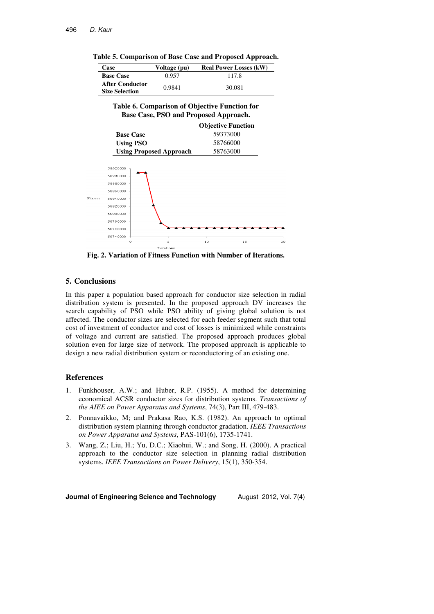| Table 5. Comparison of Base Case and Proposed Approach. |  |  |
|---------------------------------------------------------|--|--|
|                                                         |  |  |

| Case                                     | Voltage (pu) | <b>Real Power Losses (kW)</b> |
|------------------------------------------|--------------|-------------------------------|
| <b>Base Case</b>                         | 0.957        | 117.8                         |
| After Conductor<br><b>Size Selection</b> | 0.9841       | 30.081                        |

| Table 6. Comparison of Objective Function for |
|-----------------------------------------------|
| Base Case, PSO and Proposed Approach.         |

|                                | <b>Objective Function</b> |
|--------------------------------|---------------------------|
| <b>Base Case</b>               | 59373000                  |
| <b>Using PSO</b>               | 58766000                  |
| <b>Using Proposed Approach</b> | 58763000                  |



**Fig. 2. Variation of Fitness Function with Number of Iterations.** 

### **5. Conclusions**

In this paper a population based approach for conductor size selection in radial distribution system is presented. In the proposed approach DV increases the search capability of PSO while PSO ability of giving global solution is not affected. The conductor sizes are selected for each feeder segment such that total cost of investment of conductor and cost of losses is minimized while constraints of voltage and current are satisfied. The proposed approach produces global solution even for large size of network. The proposed approach is applicable to design a new radial distribution system or reconductoring of an existing one.

#### **References**

- 1. Funkhouser, A.W.; and Huber, R.P. (1955). A method for determining economical ACSR conductor sizes for distribution systems. *Transactions of the AIEE on Power Apparatus and Systems*, 74(3), Part III, 479-483.
- 2. Ponnavaikko, M; and Prakasa Rao, K.S. (1982). An approach to optimal distribution system planning through conductor gradation. *IEEE Transactions on Power Apparatus and Systems*, PAS-101(6), 1735-1741.
- 3. Wang, Z.; Liu, H.; Yu, D.C.; Xiaohui, W.; and Song, H. (2000). A practical approach to the conductor size selection in planning radial distribution systems. *IEEE Transactions on Power Delivery*, 15(1), 350-354.